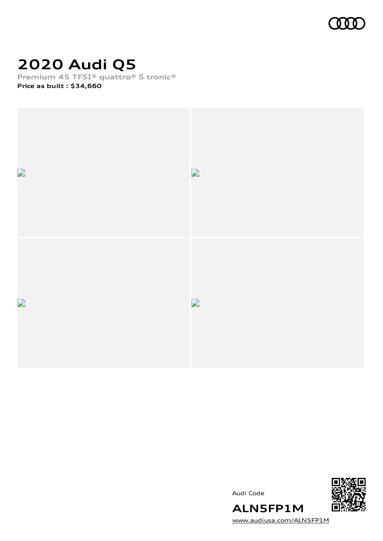

# **2020 Audi Q5**

**Premium 45 TFSI® quattro® S tronic®**

**Price as built [:](#page-8-0) \$34,660**







[www.audiusa.com/ALN5FP1M](https://www.audiusa.com/ALN5FP1M)

**ALN5FP1M**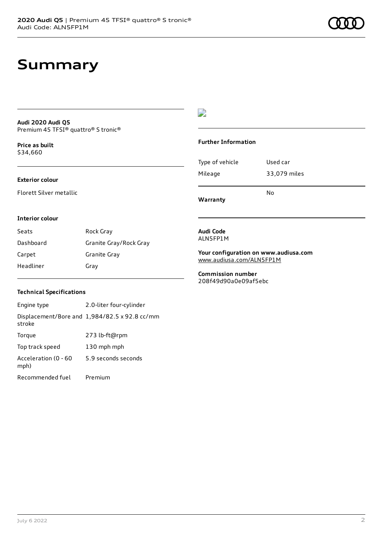# **Summary**

#### **Audi 2020 Audi Q5** Premium 45 TFSI® quattro® S tronic®

**Price as buil[t](#page-8-0)** \$34,660

### **Exterior colour**

Florett Silver metallic

### $\overline{\phantom{a}}$

### **Further Information**

|                 | N٥           |
|-----------------|--------------|
| Mileage         | 33,079 miles |
| Type of vehicle | Used car     |

**Warranty**

#### **Interior colour**

| Seats     | Rock Gray              |
|-----------|------------------------|
| Dashboard | Granite Gray/Rock Gray |
| Carpet    | Granite Gray           |
| Headliner | Gray                   |

#### **Audi Code** ALN5FP1M

**Your configuration on www.audiusa.com** [www.audiusa.com/ALN5FP1M](https://www.audiusa.com/ALN5FP1M)

**Commission number** 208f49d90a0e09af5ebc

### **Technical Specifications**

| Engine type                  | 2.0-liter four-cylinder                       |
|------------------------------|-----------------------------------------------|
| stroke                       | Displacement/Bore and 1,984/82.5 x 92.8 cc/mm |
| Torque                       | 273 lb-ft@rpm                                 |
| Top track speed              | 130 mph mph                                   |
| Acceleration (0 - 60<br>mph) | 5.9 seconds seconds                           |
| Recommended fuel             | Premium                                       |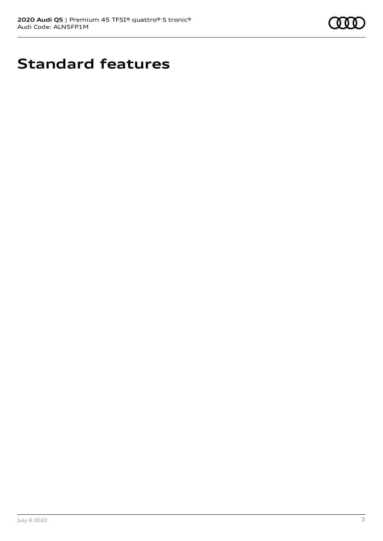

# **Standard features**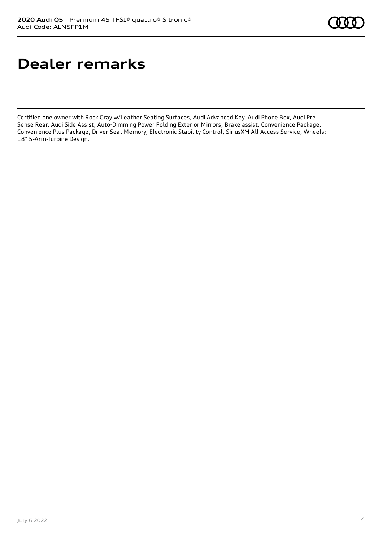# **Dealer remarks**

Certified one owner with Rock Gray w/Leather Seating Surfaces, Audi Advanced Key, Audi Phone Box, Audi Pre Sense Rear, Audi Side Assist, Auto-Dimming Power Folding Exterior Mirrors, Brake assist, Convenience Package, Convenience Plus Package, Driver Seat Memory, Electronic Stability Control, SiriusXM All Access Service, Wheels: 18" 5-Arm-Turbine Design.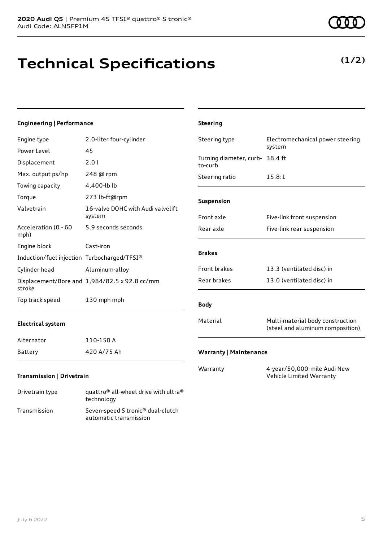technology Transmission Seven-speed S tronic® dual-clutch

automatic transmission

# **Technical Specifications**

### **Engineering | Performance**

| Engine type                                 | 2.0-liter four-cylinder                                      | Steering type                              | Electromechanical power steering                                     |
|---------------------------------------------|--------------------------------------------------------------|--------------------------------------------|----------------------------------------------------------------------|
| Power Level                                 | 45                                                           |                                            | system                                                               |
| Displacement                                | 2.01                                                         | Turning diameter, curb- 38.4 ft<br>to-curb |                                                                      |
| Max. output ps/hp                           | 248 @ rpm                                                    | Steering ratio                             | 15.8:1                                                               |
| Towing capacity                             | 4,400-lb lb                                                  |                                            |                                                                      |
| Torque                                      | 273 lb-ft@rpm                                                | Suspension                                 |                                                                      |
| Valvetrain                                  | 16-valve DOHC with Audi valvelift<br>system                  | Front axle                                 | Five-link front suspension                                           |
| Acceleration (0 - 60<br>mph)                | 5.9 seconds seconds                                          | Rear axle                                  | Five-link rear suspension                                            |
| Engine block                                | Cast-iron                                                    |                                            |                                                                      |
| Induction/fuel injection Turbocharged/TFSI® |                                                              | <b>Brakes</b>                              |                                                                      |
| Cylinder head                               | Aluminum-alloy                                               | Front brakes                               | 13.3 (ventilated disc) in                                            |
| stroke                                      | Displacement/Bore and 1,984/82.5 x 92.8 cc/mm                | Rear brakes                                | 13.0 (ventilated disc) in                                            |
| Top track speed                             | 130 mph mph                                                  | <b>Body</b>                                |                                                                      |
| <b>Electrical system</b>                    |                                                              | Material                                   | Multi-material body construction<br>(steel and aluminum composition) |
| Alternator                                  | 110-150 A                                                    |                                            |                                                                      |
| Battery                                     | 420 A/75 Ah                                                  | <b>Warranty   Maintenance</b>              |                                                                      |
| Transmission   Drivetrain                   |                                                              | Warranty                                   | 4-year/50,000-mile Audi New<br>Vehicle Limited Warranty              |
| Drivetrain type                             | quattro <sup>®</sup> all-wheel drive with ultra <sup>®</sup> |                                            |                                                                      |

**Steering**

### **(1/2)**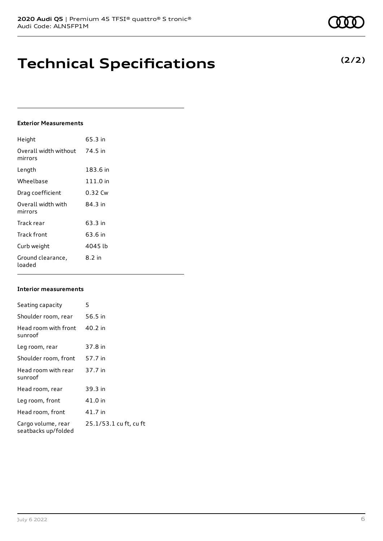# **Technical Specifications**

### **Exterior Measurements**

| Height                           | 65.3 in  |
|----------------------------------|----------|
| Overall width without<br>mirrors | 74.5 in  |
| Length                           | 183.6 in |
| Wheelbase                        | 111.0 in |
| Drag coefficient                 | 0.32 Cw  |
| Overall width with<br>mirrors    | 84 3 in  |
| Track rear                       | 63.3 in  |
| Track front                      | 63.6 in  |
| Curb weight                      | 4045 lb  |
| Ground clearance,<br>loaded      | 8.2 in   |

### **Interior measurements**

| Seating capacity                          | 5                      |
|-------------------------------------------|------------------------|
| Shoulder room, rear                       | 56.5 in                |
| Head room with front<br>sunroof           | 40.2 in                |
| Leg room, rear                            | 37.8 in                |
| Shoulder room, front                      | 57.7 in                |
| Head room with rear<br>sunroof            | 37.7 in                |
| Head room, rear                           | 39.3 in                |
| Leg room, front                           | 41.0 in                |
| Head room, front                          | 41.7 in                |
| Cargo volume, rear<br>seatbacks up/folded | 25.1/53.1 cu ft, cu ft |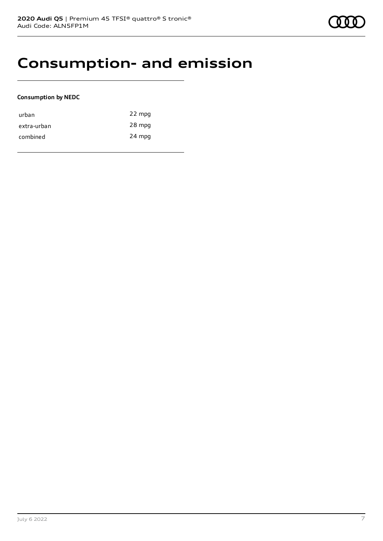### **Consumption- and emission**

### **Consumption by NEDC**

| urban       | 22 mpg |
|-------------|--------|
| extra-urban | 28 mpg |
| combined    | 24 mpg |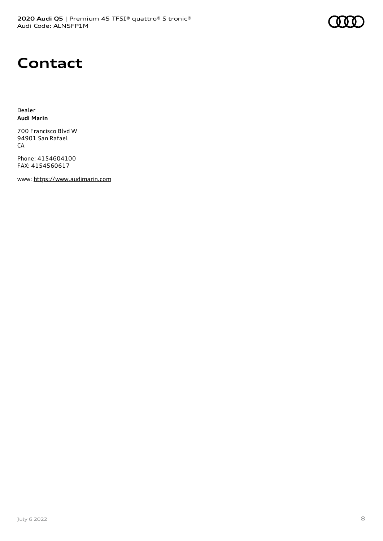

## **Contact**

Dealer **Audi Marin**

700 Francisco Blvd W 94901 San Rafael CA

Phone: 4154604100 FAX: 4154560617

www: [https://www.audimarin.com](https://www.audimarin.com/)